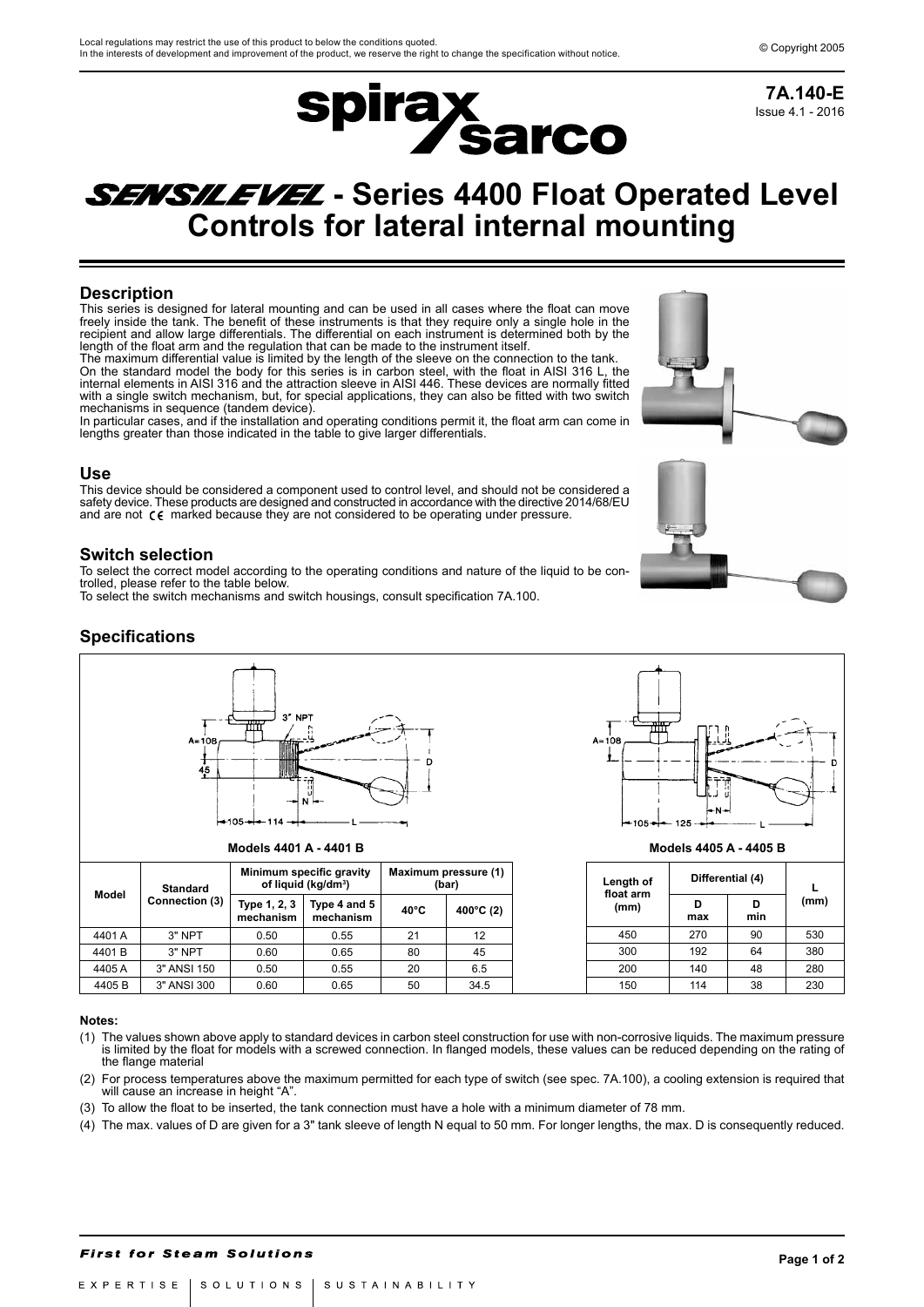

Issue 4.1 - 2016 **7A.140-E**

# **SENSILEVEL** - Series 4400 Float Operated Level **Controls for lateral internal mounting**

## **Description**

This series is designed for lateral mounting and can be used in all cases where the float can move freely inside the tank. The benefit of these instruments is that they require only a single hole in the recipient and allow large differentials. The differential on each instrument is determined both by the length of the float arm and the regulation that can be made to the instrument itself.

The maximum differential value is limited by the length of the sleeve on the connection to the tank. On the standard model the body for this series is in carbon steel, with the float in AISI 316 L, the internal elements in AISI 316 and the attraction sleeve in AISI 446. These devices are normally fitted with a single switch mechanism, but, for special applications, they can also be fitted with two switch mechanisms in sequence (tandem device).

In particular cases, and if the installation and operating conditions permit it, the float arm can come in lengths greater than those indicated in the table to give larger differentials.

#### **Use**

This device should be considered a component used to control level, and should not be considered a safety device. These products are designed and constructed in accordance with the directive 2014/68/EU and are not  $\zeta \zeta$  marked because they are not considered to be operating under pressure.

### **Switch selection**

To select the correct model according to the operating conditions and nature of the liquid to be controlled, please refer to the table below.

To select the switch mechanisms and switch housings, consult specification 7A.100.

## **Specifications**



**Models 4401 A - 4401 B**

| Model  | <b>Standard</b> |                           | Minimum specific gravity<br>of liquid (kg/dm <sup>3</sup> ) | Maximum pressure (1)<br>(bar) |                      |  |  |
|--------|-----------------|---------------------------|-------------------------------------------------------------|-------------------------------|----------------------|--|--|
|        | Connection (3)  | Type 1, 2, 3<br>mechanism | Type 4 and 5<br>mechanism                                   | $40^{\circ}$ C                | 400 $^{\circ}$ C (2) |  |  |
| 4401 A | 3" NPT          | 0.50                      | 0.55                                                        | 21                            | 12                   |  |  |
| 4401B  | 3" NPT          | 0.60                      | 0.65                                                        | 80                            | 45                   |  |  |
| 4405 A | 3" ANSI 150     | 0.50                      | 0.55                                                        | 20                            | 6.5                  |  |  |
| 4405B  | 3" ANSI 300     | 0.60                      | 0.65                                                        | 50                            | 34.5                 |  |  |



**Models 4405 A - 4405 B**

| Length of<br>float arm | Differential (4) |          |      |  |
|------------------------|------------------|----------|------|--|
| (mm)                   | D<br>max         | D<br>min | (mm) |  |
| 450                    | 270              | 90       | 530  |  |
| 300                    | 192              | 64       | 380  |  |
| 200                    | 140              | 48       | 280  |  |
| 150                    | 114              | 38       | 230  |  |

#### **Notes:**

- (1) The values shown above apply to standard devices in carbon steel construction for use with non-corrosive liquids. The maximum pressure is limited by the float for models with a screwed connection. In flanged models, these values can be reduced depending on the rating of the flange material
- (2) For process temperatures above the maximum permitted for each type of switch (see spec. 7A.100), a cooling extension is required that will cause an increase in height "A".
- (3) To allow the float to be inserted, the tank connection must have a hole with a minimum diameter of 78 mm.
- (4) The max. values of D are given for a 3" tank sleeve of length N equal to 50 mm. For longer lengths, the max. D is consequently reduced.

#### **First for Steam Solutions**